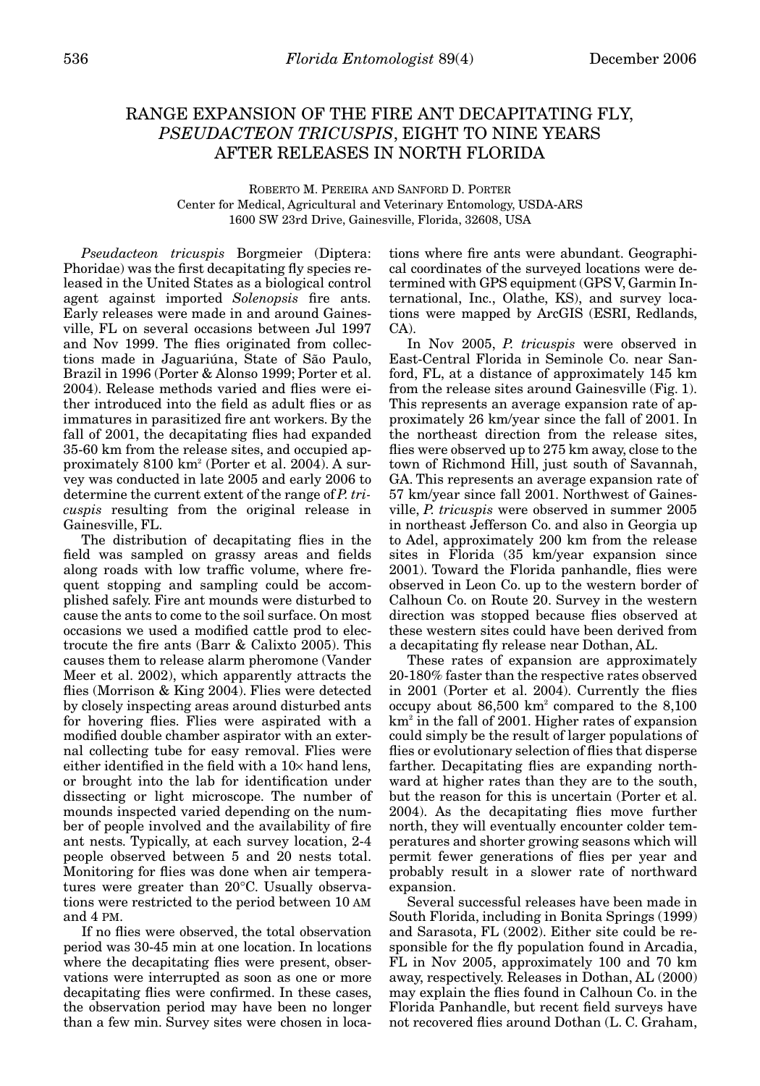## RANGE EXPANSION OF THE FIRE ANT DECAPITATING FLY, *PSEUDACTEON TRICUSPIS*, EIGHT TO NINE YEARS AFTER RELEASES IN NORTH FLORIDA

ROBERTO M. PEREIRA AND SANFORD D. PORTER Center for Medical, Agricultural and Veterinary Entomology, USDA-ARS 1600 SW 23rd Drive, Gainesville, Florida, 32608, USA

*Pseudacteon tricuspis* Borgmeier (Diptera: Phoridae) was the first decapitating fly species released in the United States as a biological control agent against imported *Solenopsis* fire ants. Early releases were made in and around Gainesville, FL on several occasions between Jul 1997 and Nov 1999. The flies originated from collections made in Jaguariúna, State of São Paulo, Brazil in 1996 (Porter & Alonso 1999; Porter et al. 2004). Release methods varied and flies were either introduced into the field as adult flies or as immatures in parasitized fire ant workers. By the fall of 2001, the decapitating flies had expanded 35-60 km from the release sites, and occupied approximately 8100 km2 (Porter et al. 2004). A survey was conducted in late 2005 and early 2006 to determine the current extent of the range of *P. tricuspis* resulting from the original release in Gainesville, FL.

The distribution of decapitating flies in the field was sampled on grassy areas and fields along roads with low traffic volume, where frequent stopping and sampling could be accomplished safely. Fire ant mounds were disturbed to cause the ants to come to the soil surface. On most occasions we used a modified cattle prod to electrocute the fire ants (Barr & Calixto 2005). This causes them to release alarm pheromone (Vander Meer et al. 2002), which apparently attracts the flies (Morrison & King 2004). Flies were detected by closely inspecting areas around disturbed ants for hovering flies. Flies were aspirated with a modified double chamber aspirator with an external collecting tube for easy removal. Flies were either identified in the field with a  $10\times$  hand lens, or brought into the lab for identification under dissecting or light microscope. The number of mounds inspected varied depending on the number of people involved and the availability of fire ant nests. Typically, at each survey location, 2-4 people observed between 5 and 20 nests total. Monitoring for flies was done when air temperatures were greater than 20°C. Usually observations were restricted to the period between 10 AM and 4 PM.

If no flies were observed, the total observation period was 30-45 min at one location. In locations where the decapitating flies were present, observations were interrupted as soon as one or more decapitating flies were confirmed. In these cases, the observation period may have been no longer than a few min. Survey sites were chosen in locations where fire ants were abundant. Geographical coordinates of the surveyed locations were determined with GPS equipment (GPS V, Garmin International, Inc., Olathe, KS), and survey locations were mapped by ArcGIS (ESRI, Redlands, CA).

In Nov 2005, *P. tricuspis* were observed in East-Central Florida in Seminole Co. near Sanford, FL, at a distance of approximately 145 km from the release sites around Gainesville (Fig. 1). This represents an average expansion rate of approximately 26 km/year since the fall of 2001. In the northeast direction from the release sites, flies were observed up to 275 km away, close to the town of Richmond Hill, just south of Savannah, GA. This represents an average expansion rate of 57 km/year since fall 2001. Northwest of Gainesville, *P. tricuspis* were observed in summer 2005 in northeast Jefferson Co. and also in Georgia up to Adel, approximately 200 km from the release sites in Florida (35 km/year expansion since 2001). Toward the Florida panhandle, flies were observed in Leon Co. up to the western border of Calhoun Co. on Route 20. Survey in the western direction was stopped because flies observed at these western sites could have been derived from a decapitating fly release near Dothan, AL.

These rates of expansion are approximately 20-180% faster than the respective rates observed in 2001 (Porter et al. 2004). Currently the flies occupy about  $86,500 \text{ km}^2$  compared to the  $8,100$  $km<sup>2</sup>$  in the fall of 2001. Higher rates of expansion could simply be the result of larger populations of flies or evolutionary selection of flies that disperse farther. Decapitating flies are expanding northward at higher rates than they are to the south, but the reason for this is uncertain (Porter et al. 2004). As the decapitating flies move further north, they will eventually encounter colder temperatures and shorter growing seasons which will permit fewer generations of flies per year and probably result in a slower rate of northward expansion.

Several successful releases have been made in South Florida, including in Bonita Springs (1999) and Sarasota, FL (2002). Either site could be responsible for the fly population found in Arcadia, FL in Nov 2005, approximately 100 and 70 km away, respectively. Releases in Dothan, AL (2000) may explain the flies found in Calhoun Co. in the Florida Panhandle, but recent field surveys have not recovered flies around Dothan (L. C. Graham,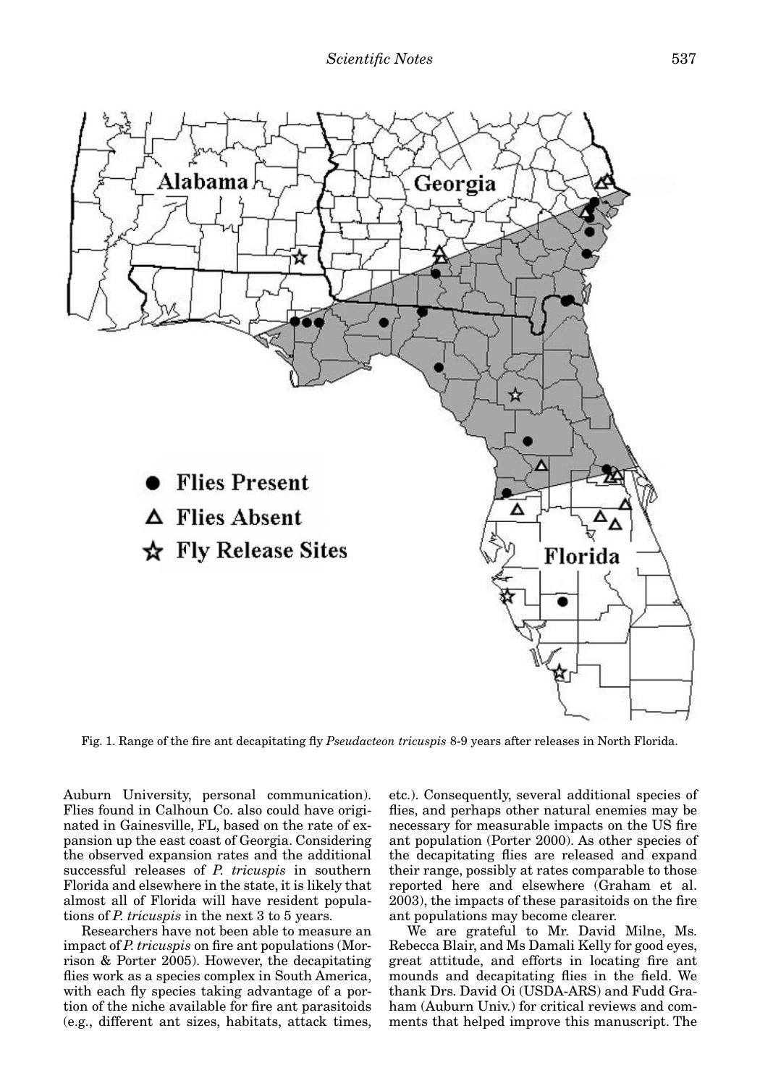

Fig. 1. Range of the fire ant decapitating fly *Pseudacteon tricuspis* 8-9 years after releases in North Florida.

Auburn University, personal communication). Flies found in Calhoun Co. also could have originated in Gainesville, FL, based on the rate of expansion up the east coast of Georgia. Considering the observed expansion rates and the additional successful releases of *P. tricuspis* in southern Florida and elsewhere in the state, it is likely that almost all of Florida will have resident populations of *P. tricuspis* in the next 3 to 5 years.

Researchers have not been able to measure an impact of *P. tricuspis* on fire ant populations (Morrison & Porter 2005). However, the decapitating flies work as a species complex in South America, with each fly species taking advantage of a portion of the niche available for fire ant parasitoids (e.g., different ant sizes, habitats, attack times,

etc.). Consequently, several additional species of flies, and perhaps other natural enemies may be necessary for measurable impacts on the US fire ant population (Porter 2000). As other species of the decapitating flies are released and expand their range, possibly at rates comparable to those reported here and elsewhere (Graham et al. 2003), the impacts of these parasitoids on the fire ant populations may become clearer.

We are grateful to Mr. David Milne, Ms. Rebecca Blair, and Ms Damali Kelly for good eyes, great attitude, and efforts in locating fire ant mounds and decapitating flies in the field. We thank Drs. David Oi (USDA-ARS) and Fudd Graham (Auburn Univ.) for critical reviews and comments that helped improve this manuscript. The